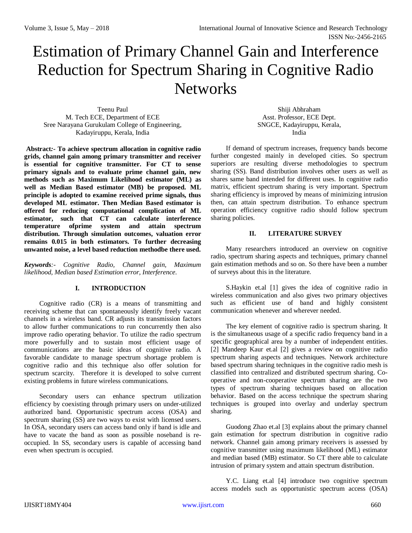# Estimation of Primary Channel Gain and Interference Reduction for Spectrum Sharing in Cognitive Radio **Networks**

Teenu Paul M. Tech ECE, Department of ECE Sree Narayana Gurukulam College of Engineering, Kadayiruppu, Kerala, India

**Abstract***:-* **To achieve spectrum allocation in cognitive radio grids, channel gain among primary transmitter and receiver is essential for cognitive transmitter. For CT to sense primary signals and to evaluate prime channel gain, new methods such as Maximum Likelihood estimator (ML) as well as Median Based estimator (MB) be proposed. ML principle is adopted to examine received prime signals, thus developed ML estimator. Then Median Based estimator is offered for reducing computational complication of ML estimator, such that CT can calculate interference temperature ofprime system and attain spectrum distribution. Through simulation outcomes, valuation error remains 0.015 in both estimators. To further decreasing unwanted noise, a level based reduction methodbe there used.**

*Keywords:- Cognitive Radio, Channel gain, Maximum likelihood, Median based Estimation error, Interference.*

# **I. INTRODUCTION**

Cognitive radio (CR) is a means of transmitting and receiving scheme that can spontaneously identify freely vacant channels in a wireless band. CR adjusts its transmission factors to allow further communications to run concurrently then also improve radio operating behavior. To utilize the radio spectrum more powerfully and to sustain most efficient usage of communications are the basic ideas of cognitive radio. A favorable candidate to manage spectrum shortage problem is cognitive radio and this technique also offer solution for spectrum scarcity. Therefore it is developed to solve current existing problems in future wireless communications.

Secondary users can enhance spectrum utilization efficiency by coexisting through primary users on under-utilized authorized band. Opportunistic spectrum access (OSA) and spectrum sharing (SS) are two ways to exist with licensed users. In OSA, secondary users can access band only if band is idle and have to vacate the band as soon as possible noseband is reoccupied. In SS, secondary users is capable of accessing band even when spectrum is occupied.

Shiji Abhraham Asst. Professor, ECE Dept. SNGCE, Kadayiruppu, Kerala, India

If demand of spectrum increases, frequency bands become further congested mainly in developed cities. So spectrum superiors are resulting diverse methodologies to spectrum sharing (SS). Band distribution involves other users as well as shares same band intended for different uses. In cognitive radio matrix, efficient spectrum sharing is very important. Spectrum sharing efficiency is improved by means of minimizing intrusion then, can attain spectrum distribution. To enhance spectrum operation efficiency cognitive radio should follow spectrum sharing policies.

# **II. LITERATURE SURVEY**

Many researchers introduced an overview on cognitive radio, spectrum sharing aspects and techniques, primary channel gain estimation methods and so on. So there have been a number of surveys about this in the literature.

S.Haykin et.al [1] gives the idea of cognitive radio in wireless communication and also gives two primary objectives such as efficient use of band and highly consistent communication whenever and wherever needed.

The key element of cognitive radio is spectrum sharing. It is the simultaneous usage of a specific radio frequency band in a specific geographical area by a number of independent entities. [2] Mandeep Kaur et.al [2] gives a review on cognitive radio spectrum sharing aspects and techniques. Network architecture based spectrum sharing techniques in the cognitive radio mesh is classified into centralized and distributed spectrum sharing. Cooperative and non-cooperative spectrum sharing are the two types of spectrum sharing techniques based on allocation behavior. Based on the access technique the spectrum sharing techniques is grouped into overlay and underlay spectrum sharing.

Guodong Zhao et.al [3] explains about the primary channel gain estimation for spectrum distribution in cognitive radio network. Channel gain among primary receivers is assessed by cognitive transmitter using maximum likelihood (ML) estimator and median based (MB) estimator. So CT there able to calculate intrusion of primary system and attain spectrum distribution.

Y.C. Liang et.al [4] introduce two cognitive spectrum access models such as opportunistic spectrum access (OSA)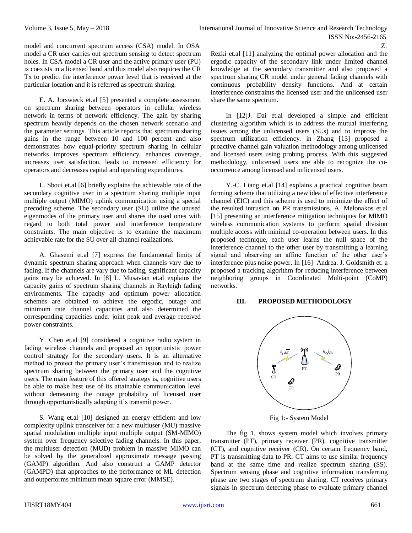model and concurrent spectrum access (CSA) model. In OSA model a CR user carries out spectrum sensing to detect spectrum holes. In CSA model a CR user and the active primary user (PU) is coexists in a licensed band and this model also requires the CR Tx to predict the interference power level that is received at the particular location and it is referred as spectrum sharing.

E. A. Jorswieck et.al [5] presented a complete assessment on spectrum sharing between operators in cellular wireless network in terms of network efficiency. The gain by sharing spectrum heavily depends on the chosen network scenario and the parameter settings. This article reports that spectrum sharing gains in the range between 10 and 100 percent and also demonstrates how equal-priority spectrum sharing in cellular networks improves spectrum efficiency, enhances coverage, increases user satisfaction, leads to increased efficiency for operators and decreases capital and operating expenditures.

L. Sboui et.al [6] briefly explains the achievable rate of the secondary cognitive user in a spectrum sharing multiple input multiple output (MIMO) uplink communication using a special precoding scheme. The secondary user (SU) utilize the unused eigenmodes of the primary user and shares the used ones with regard to both total power and interference temperature constraints. The main objective is to examine the maximum achievable rate for the SU over all channel realizations.

A. Ghasemi et.al [7] express the fundamental limits of dynamic spectrum sharing approach when channels vary due to fading. If the channels are vary due to fading, significant capacity gains may be achieved. In [8] L. Musavian et.al explains the capacity gains of spectrum sharing channels in Rayleigh fading environments. The capacity and optimum power allocation schemes are obtained to achieve the ergodic, outage and minimum rate channel capacities and also determined the corresponding capacities under joint peak and average received power constraints.

Y. Chen et.al [9] considered a cognitive radio system in fading wireless channels and proposed an opportunistic power control strategy for the secondary users. It is an alternative method to protect the primary user's transmission and to realize spectrum sharing between the primary user and the cognitive users. The main feature of this offered strategy is, cognitive users be able to make best use of its attainable communication level without demeaning the outage probability of licensed user through opportunistically adapting it's transmit power.

S. Wang et.al [10] designed an energy efficient and low complexity uplink transceiver for a new multiuser (MU) massive spatial modulation multiple input multiple output (SM-MIMO) system over frequency selective fading channels. In this paper, the multiuser detection (MUD) problem in massive MIMO can be solved by the generalized approximate message passing (GAMP) algorithm. And also construct a GAMP detector (GAMPD) that approaches to the performance of ML detection and outperforms minimum mean square error (MMSE).

Rezki et.al [11] analyzing the optimal power allocation and the ergodic capacity of the secondary link under limited channel knowledge at the secondary transmitter and also proposed a spectrum sharing CR model under general fading channels with continuous probability density functions. And at certain interference constraints the licensed user and the unlicensed user share the same spectrum.

Z.

In [12] J. Dai et.al developed a simple and efficient clustering algorithm which is to address the mutual interfering issues among the unlicensed users (SUs) and to improve the spectrum utilization efficiency. in Zhang [13] proposed a proactive channel gain valuation methodology among unlicensed and licensed users using probing process. With this suggested methodology, unlicensed users are able to recognize the cooccurrence among licensed and unlicensed users.

Y.-C. Liang et.al [14] explains a practical cognitive beam forming scheme that utilizing a new idea of effective interference channel (EIC) and this scheme is used to minimize the effect of the resulted intrusion on PR transmissions. A. Melonakos et.al [15] presenting an interference mitigation techniques for MIMO wireless communication systems to perform spatial division multiple access with minimal co-operation between users. In this proposed technique, each user learns the null space of the interference channel to the other user by transmitting a learning signal and observing an affine function of the other user's interference plus noise power. In [16] Andrea. J. Goldsmith et. a proposed a tracking algorithm for reducing interference between neighboring groups in Coordinated Multi-point (CoMP) networks.

# **III. PROPOSED METHODOLOGY**



Fig 1:- System Model

The fig 1. shows system model which involves primary transmitter (PT), primary receiver (PR), cognitive transmitter (CT), and cognitive receiver (CR). On certain frequency band, PT is transmitting data to PR. CT aims to use similar frequency band at the same time and realize spectrum sharing (SS). Spectrum sensing phase and cognitive information transferring phase are two stages of spectrum sharing. CT receives primary signals in spectrum detecting phase to evaluate primary channel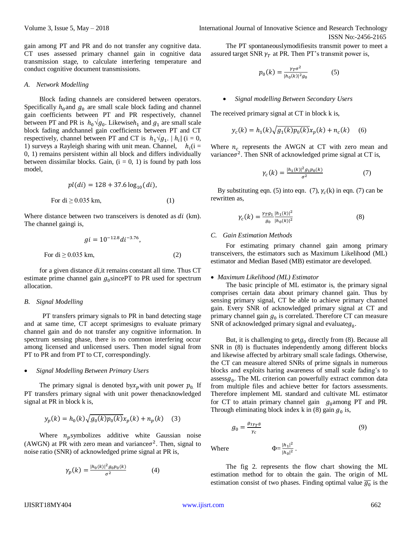gain among PT and PR and do not transfer any cognitive data. CT uses assessed primary channel gain in cognitive data transmission stage, to calculate interfering temperature and conduct cognitive document transmissions.

#### *A. Network Modelling*

Block fading channels are considered between operators. Specifically  $h_0$  and  $g_0$  are small scale block fading and channel gain coefficients between PT and PR respectively, channel between PT and PR is  $h_0 \sqrt{g_0}$ . Likewise $h_1$  and  $g_1$  are small scale block fading andchannel gain coefficients between PT and CT respectively, channel between PT and CT is  $h_1 \sqrt{g_1}$ .  $|h_i|$  (i = 0, 1) surveys a Rayleigh sharing with unit mean. Channel,  $h_i(i =$ 0, 1) remains persistent within all block and differs individually between dissimilar blocks. Gain,  $(i = 0, 1)$  is found by path loss model,

$$
pl(di) = 128 + 37.6 \log_{10}(di),
$$
  
For di  $\geq 0.035$  km, (1)

Where distance between two transceivers is denoted as  $di$  (km). The channel gaingi is,

$$
gi = 10^{-12.8} di^{-3.76},
$$
  
For di  $\geq$  0.035 km, (2)

for a given distance *di,*it remains constant all time. Thus CT estimate prime channel gain  $g_0$ sincePT to PR used for spectrum allocation.

#### *B. Signal Modelling*

PT transfers primary signals to PR in band detecting stage and at same time, CT accept sprimesigns to evaluate primary channel gain and do not transfer any cognitive information. In spectrum sensing phase, there is no common interfering occur among licensed and unlicensed users. Then model signal from PT to PR and from PT to CT, correspondingly.

#### *Signal Modelling Between Primary Users*

The primary signal is denoted by x<sub>p</sub> with unit power  $p_0$ . If PT transfers primary signal with unit power thenacknowledged signal at PR in block k is,

$$
y_p(k) = h_0(k)\sqrt{g_0(k)p_0(k)}x_p(k) + n_p(k)
$$
 (3)

Where  $n_p$  symbolizes additive white Gaussian noise (AWGN) at PR with zero mean and variance $\sigma^2$ . Then, signal to noise ratio (SNR) of acknowledged prime signal at PR is,

$$
\gamma_p(k) = \frac{|h_0(k)|^2 g_0 p_0(k)}{\sigma^2} \tag{4}
$$

Volume 3, Issue 5, May – 2018 **International Journal of Innovative Science and Research Technology** ISSN No:-2456-2165

> The PT spontaneouslymodifiesits transmit power to meet a assured target SNR  $\gamma_T$  at PR. Then PT's transmit power is,

$$
p_0(k) = \frac{\gamma_T \sigma^2}{|h_0(k)|^2 g_0} \tag{5}
$$

#### *Signal modelling Between Secondary Users*

The received primary signal at CT in block k is,

$$
y_c(k) = h_1(k)\sqrt{g_1(k)p_0(k)}x_p(k) + n_c(k) \quad (6)
$$

Where  $n_c$  represents the AWGN at CT with zero mean and variance $\sigma^2$ . Then SNR of acknowledged prime signal at CT is,

$$
\gamma_c(k) = \frac{|h_1(k)|^2 g_1 p_0(k)}{\sigma^2} \tag{7}
$$

By substituting eqn. (5) into eqn. (7),  $\gamma_c(k)$  in eqn. (7) can be rewritten as,

$$
\gamma_c(k) = \frac{\gamma_T g_1}{g_0} \frac{|h_1(k)|^2}{|h_0(k)|^2} \tag{8}
$$

#### *C. Gain Estimation Methods*

For estimating primary channel gain among primary transceivers, the estimators such as Maximum Likelihood (ML) estimator and Median Based (MB) estimator are developed.

## *Maximum Likelihood (ML) Estimator*

The basic principle of ML estimator is, the primary signal comprises certain data about primary channel gain. Thus by sensing primary signal, CT be able to achieve primary channel gain. Every SNR of acknowledged primary signal at CT and primary channel gain  $g_0$  is correlated. Therefore CT can measure SNR of acknowledged primary signal and evaluate $g_0$ .

But, it is challenging to get $g_0$  directly from (8). Because all SNR in (8) is fluctuates independently among different blocks and likewise affected by arbitrary small scale fadings. Otherwise, the CT can measure altered SNRs of prime signals in numerous blocks and exploits haring awareness of small scale fading's to  $assess g<sub>0</sub>$ . The ML criterion can powerfully extract common data from multiple files and achieve better for factors assessments. Therefore implement ML standard and cultivate ML estimator for CT to attain primary channel gain  $g_0$ among PT and PR. Through eliminating block index  $k$  in (8) gain  $g_0$  is,

$$
g_0 = \frac{g_{1\gamma_T\emptyset}}{\gamma_c} \tag{9}
$$

 $|h_1|^2$  $\frac{|n_1|}{|h_0|^2}$ .

Where

The fig 2. represents the flow chart showing the ML estimation method for to obtain the gain. The origin of ML estimation consist of two phases. Finding optimal value  $\overline{g_0}$  is the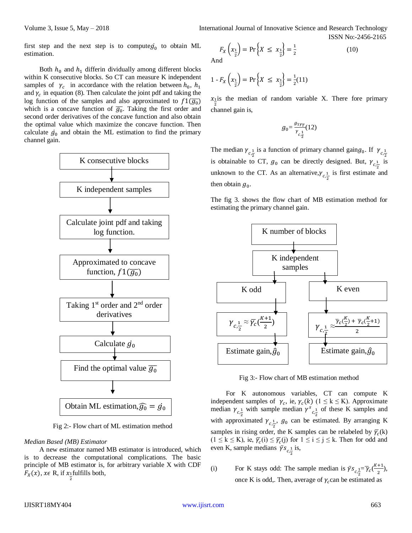first step and the next step is to compute  $g_0$  to obtain ML estimation.

Both  $h_0$  and  $h_1$  differin dividually among different blocks within K consecutive blocks. So CT can measure K independent samples of  $\gamma_c$  in accordance with the relation between  $h_0$ ,  $h_1$ and  $\gamma_c$  in equation (8). Then calculate the joint pdf and taking the log function of the samples and also approximated to  $f1(\overline{g_0})$ which is a concave function of  $\overline{g_0}$ . Taking the first order and second order derivatives of the concave function and also obtain the optimal value which maximize the concave function. Then calculate  $g_0$  and obtain the ML estimation to find the primary channel gain.



Fig 2:- Flow chart of ML estimation method

## *Median Based (MB) Estimator*

A new estimator named MB estimator is introduced, which is to decrease the computational complications. The basic principle of MB estimator is, for arbitrary variable X with CDF  $F_X(x)$ ,  $x \in \mathbb{R}$ , if  $x_1$  fulfills both, 2

$$
F_X\left(x_{\frac{1}{2}}\right) = \Pr\left\{X \le x_{\frac{1}{2}}\right\} = \frac{1}{2}
$$
 (10)

And

$$
1 - F_X\left(x_{\frac{1}{2}}\right) = \Pr\left\{X \le x_{\frac{1}{2}}\right\} = \frac{1}{2}(11)
$$

 $x_1$  is the median of random variable X. There fore primary channel gain is,

$$
g_0 = \frac{g_{1\gamma_T}}{\gamma_{c,\frac{1}{2}}}(12)
$$

The median  $\gamma_{c,\frac{1}{2}}$  is a function of primary channel gain $g_0$ . If  $\gamma_{c,\frac{1}{2}}$ is obtainable to CT,  $g_0$  can be directly designed. But,  $\gamma_{c_{\frac{1}{2}}}$  is unknown to the CT. As an alternative,  $\gamma_{c,\frac{1}{2}}$  is first estimate and then obtain  $g_0$ .

The fig 3. shows the flow chart of MB estimation method for estimating the primary channel gain.



Fig 3:- Flow chart of MB estimation method

For K autonomous variables, CT can compute K independent samples of  $\gamma_c$ , ie,  $\gamma_c(k)$  ( $1 \le k \le K$ ). Approximate median  $\gamma_{c,\frac{1}{2}}$  with sample median  $\gamma_{c,\frac{1}{2}}$  of these K samples and with approximated  $\gamma_{c,\frac{1}{2}}$ ,  $g_0$  can be estimated. By arranging K samples in rising order, the K samples can be relabeled by  $\overline{\gamma_c}$ (k)  $(1 \leq k \leq K)$ , ie,  $\overline{\gamma_c}(i) \leq \overline{\gamma_c}(j)$  for  $1 \leq i \leq j \leq k$ . Then for odd and even K, sample medians  $\bar{\gamma} s_{c,\frac{1}{2}}$  is,

(i) For K stays odd: The sample median is  $\bar{\gamma} s_{c,\frac{1}{2}} = \bar{\gamma}_c \left(\frac{K+1}{2}\right)$  $\frac{1}{2}$ ), once K is odd,. Then, average of  $\gamma_c$  can be estimated as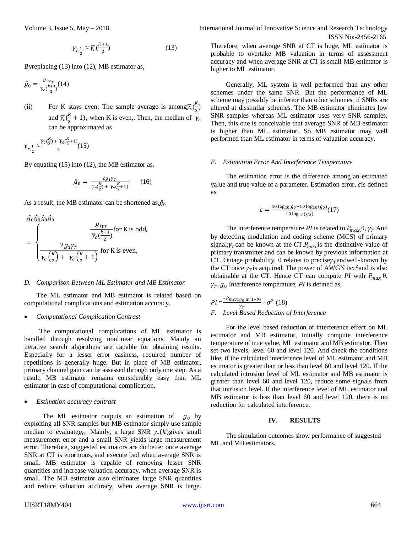$$
\gamma_{c,\frac{1}{2}} \approx \overline{\gamma_c}(\frac{K+1}{2})\tag{13}
$$

Byreplacing (13) into (12), MB estimator as,

$$
\hat{g}_0 = \frac{g_{1\gamma_T}}{\bar{\gamma}_c \left(\frac{k+1}{2}\right)} (14)
$$

(ii) For K stays even: The sample average is among  $\overline{Y_c}(\frac{K}{2})$  $\frac{n}{2}$ ) and  $\overline{\gamma_c}(\frac{K}{2})$  $\frac{\pi}{2}$  + 1), when K is even,. Then, the median of  $\gamma_c$ can be approximated as

$$
\gamma_{c,\frac{1}{2}} \approx \frac{\overline{\gamma}_c(\frac{K}{2}) + \overline{\gamma}_c(\frac{K}{2}+1)}{2}(15)
$$

By equating (15) into (12), the MB estimator as,

$$
\hat{g}_0 = \frac{2g_1 \gamma_T}{\bar{\gamma}_c(\frac{K}{2}) + \bar{\gamma}_c(\frac{K}{2} + 1)} \qquad (16)
$$

As a result, the MB estimator can be shortened as, $\hat{g}_0$ 

$$
\hat{g}_0 \hat{g}_0 \hat{g}_0 \hat{g}_0
$$
\n
$$
= \begin{cases}\n\frac{g_{1\gamma_T}}{\overline{\gamma}_c(\frac{k+1}{2})} \text{ for K is odd,} \\
\frac{2g_1 \gamma_T}{\overline{\gamma}_c(\frac{K}{2}) + \overline{\gamma}_c(\frac{K}{2} + 1)} \text{ for K is even,}\n\end{cases}
$$

### *D. Comparison Between ML Estimator and MB Estimator*

The ML estimator and MB estimator is related based on computational complications and estimation accuracy.

#### *Computational Complication Contrast*

The computational complications of ML estimator is handled through resolving nonlinear equations. Mainly an iterative search algorithms are capable for obtaining results. Especially for a lesser error easiness, required number of repetitions is generally huge. But in place of MB estimator, primary channel gain can be assessed through only one step. As a result, MB estimator remains considerably easy than ML estimator in case of computational complication.

#### *Estimation accuracy contrast*

The ML estimator outputs an estimation of  $g_0$  by exploiting all SNR samples but MB estimator simply use sample median to evaluate $g_0$ . Mainly, a large SNR  $\gamma_c(k)$ gives small measurement error and a small SNR yields large measurement error. Therefore, suggested estimators are do better once average SNR at CT is enormous, and execute bad when average SNR is small. MB estimator is capable of removing lesser SNR quantities and increase valuation accuracy, when average SNR is small. The MB estimator also eliminates large SNR quantities and reduce valuation accuracy, when average SNR is large.

Volume 3, Issue 5, May – 2018 **International Journal of Innovative Science and Research Technology** ISSN No:-2456-2165

> Therefore, when average SNR at CT is huge, ML estimator is probable to overtake MB valuation in terms of assessment accuracy and when average SNR at CT is small MB estimator is higher to ML estimator.

> Generally, ML system is well performed than any other schemes under the same SNR. But the performance of ML scheme may possibly be inferior than other schemes, if SNRs are altered at dissimilar schemes. The MB estimator eliminates low SNR samples whereas ML estimator uses very SNR samples. Then, this one is conceivable that average SNR of MB estimator is higher than ML estimator. So MB estimator may well performed than ML estimator in terms of valuation accuracy.

# *E. Estimation Error And Interference Temperature*

The estimation error is the difference among an estimated value and true value of a parameter. Estimation error,  $\epsilon$  is defined as

$$
\epsilon = \frac{10 \log_{10} \hat{g}_0 - 10 \log_{10}(g_0)}{10 \log_{10}(g_0)}(17)
$$

The interference temperature *PI* is related to  $P_{max}$ , $\theta$ ,  $\gamma_T$ .And by detecting modulation and coding scheme (MCS) of primary signal, $\gamma_T$ can be known at the CT. $P_{max}$  is the distinctive value of primary transmitter and can be known by previous information at CT. Outage probability,  $\theta$  relates to precise $\gamma$ <sub>T</sub> andwell-known by the CT once  $\gamma_T$  is acquired. The power of AWGN is  $\sigma^2$  and is also obtainable at the CT. Hence CT can compute *PI* with  $P_{max}$ , $\theta$ ,  $\gamma_T$ ,  $g_0$ . Interference temperature, *PI* is defined as,

$$
PI = \frac{-P_{max\ g_0 \ln(1-\theta)}}{r_T} - \sigma^2
$$
 (18)  
F. Level Based Reduction of Interference

For the level based reduction of interference effect on ML estimator and MB estimator, initially compute interference temperature of true value, ML estimator and MB estimator. Then set two levels, level 60 and level 120. And check the conditions like, if the calculated interference level of ML estimator and MB estimator is greater than or less than level 60 and level 120. If the calculated intrusion level of ML estimator and MB estimator is greater than level 60 and level 120, reduce some signals from that intrusion level. If the interference level of ML estimator and MB estimator is less than level 60 and level 120, there is no reduction for calculated interference.

# **IV. RESULTS**

The simulation outcomes show performance of suggested ML and MB estimators.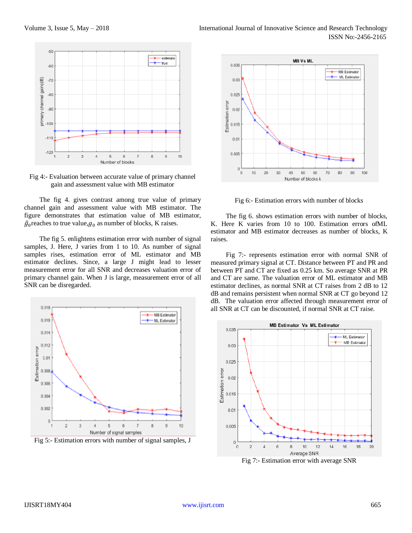

Fig 4:- Evaluation between accurate value of primary channel gain and assessment value with MB estimator

The fig 4. gives contrast among true value of primary channel gain and assessment value with MB estimator. The figure demonstrates that estimation value of MB estimator,  $\hat{g}_0$  reaches to true value,  $g_0$  as number of blocks, K raises.

The fig 5. enlightens estimation error with number of signal samples, J. Here, J varies from 1 to 10. As number of signal samples rises, estimation error of ML estimator and MB estimator declines. Since, a large J might lead to lesser measurement error for all SNR and decreases valuation error of primary channel gain. When J is large, measurement error of all SNR can be disregarded.



Fig 5:- Estimation errors with number of signal samples, J



Fig 6:- Estimation errors with number of blocks

The fig 6. shows estimation errors with number of blocks, K. Here K varies from 10 to 100. Estimation errors ofML estimator and MB estimator decreases as number of blocks, K raises.

Fig 7:- represents estimation error with normal SNR of measured primary signal at CT. Distance between PT and PR and between PT and CT are fixed as 0.25 km. So average SNR at PR and CT are same. The valuation error of ML estimator and MB estimator declines, as normal SNR at CT raises from 2 dB to 12 dB and remains persistent when normal SNR at CT go beyond 12 dB. The valuation error affected through measurement error of all SNR at CT can be discounted, if normal SNR at CT raise.



Fig 7:- Estimation error with average SNR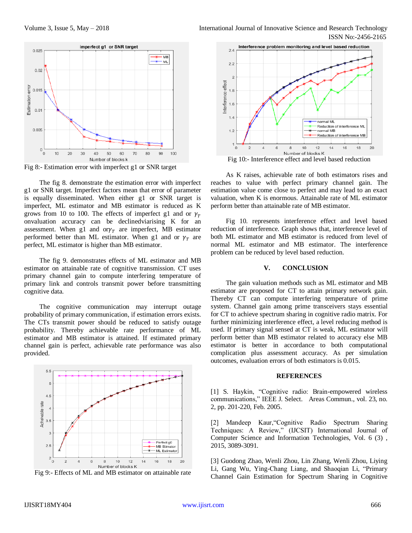

Fig 8:- Estimation error with imperfect g1 or SNR target

The fig 8. demonstrate the estimation error with imperfect g1 or SNR target. Imperfect factors mean that error of parameter is equally disseminated. When either g1 or SNR target is imperfect, ML estimator and MB estimator is reduced as K grows from 10 to 100. The effects of imperfect g1 and or  $\gamma$ <sup>T</sup> onvaluation accuracy can be declinedviarising K for an assessment. When g1 and  $\sigma r \gamma_T$  are imperfect, MB estimator performed better than ML estimator. When g1 and or  $\gamma_T$  are perfect, ML estimator is higher than MB estimator.

The fig 9. demonstrates effects of ML estimator and MB estimator on attainable rate of cognitive transmission. CT uses primary channel gain to compute interfering temperature of primary link and controls transmit power before transmitting cognitive data.

The cognitive communication may interrupt outage probability of primary communication, if estimation errors exists. The CTs transmit power should be reduced to satisfy outage probability. Thereby achievable rate performance of ML estimator and MB estimator is attained. If estimated primary channel gain is perfect, achievable rate performance was also provided.



Fig 9:- Effects of ML and MB estimator on attainable rate



Fig 10:- Interference effect and level based reduction

As K raises, achievable rate of both estimators rises and reaches to value with perfect primary channel gain. The estimation value come close to perfect and may lead to an exact valuation, when K is enormous. Attainable rate of ML estimator perform better than attainable rate of MB estimator.

Fig 10. represents interference effect and level based reduction of interference. Graph shows that, interference level of both ML estimator and MB estimator is reduced from level of normal ML estimator and MB estimator. The interference problem can be reduced by level based reduction.

# **V. CONCLUSION**

The gain valuation methods such as ML estimator and MB estimator are proposed for CT to attain primary network gain. Thereby CT can compute interfering temperature of prime system. Channel gain among prime transceivers stays essential for CT to achieve spectrum sharing in cognitive radio matrix. For further minimizing interference effect, a level reducing method is used. If primary signal sensed at CT is weak, ML estimator will perform better than MB estimator related to accuracy else MB estimator is better in accordance to both computational complication plus assessment accuracy. As per simulation outcomes, evaluation errors of both estimators is 0.015.

## **REFERENCES**

[1] S. Haykin, "Cognitive radio: Brain-empowered wireless communications," IEEE J. Select. Areas Commun., vol. 23, no. 2, pp. 201-220, Feb. 2005.

[2] Mandeep Kaur,"Cognitive Radio Spectrum Sharing Techniques: A Review," (IJCSIT) International Journal of Computer Science and Information Technologies, Vol. 6 (3) , 2015, 3089-3091.

[3] Guodong Zhao, Wenli Zhou, Lin Zhang, Wenli Zhou, Liying Li, Gang Wu, Ying-Chang Liang, and Shaoqian Li, "Primary Channel Gain Estimation for Spectrum Sharing in Cognitive